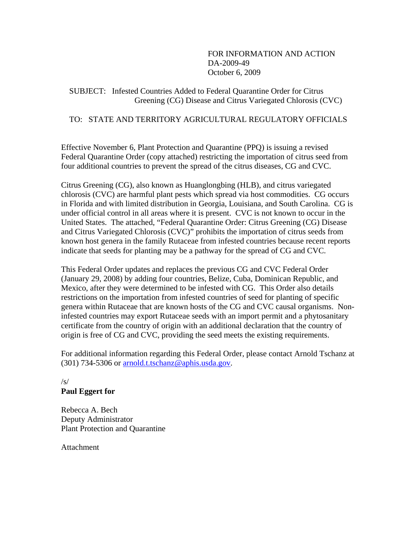FOR INFORMATION AND ACTION DA-2009-49 October 6, 2009

 SUBJECT: Infested Countries Added to Federal Quarantine Order for Citrus Greening (CG) Disease and Citrus Variegated Chlorosis (CVC)

# TO: STATE AND TERRITORY AGRICULTURAL REGULATORY OFFICIALS

Effective November 6, Plant Protection and Quarantine (PPQ) is issuing a revised Federal Quarantine Order (copy attached) restricting the importation of citrus seed from four additional countries to prevent the spread of the citrus diseases, CG and CVC.

Citrus Greening (CG), also known as Huanglongbing (HLB), and citrus variegated chlorosis (CVC) are harmful plant pests which spread via host commodities. CG occurs in Florida and with limited distribution in Georgia, Louisiana, and South Carolina. CG is under official control in all areas where it is present. CVC is not known to occur in the United States. The attached, "Federal Quarantine Order: Citrus Greening (CG) Disease and Citrus Variegated Chlorosis (CVC)" prohibits the importation of citrus seeds from known host genera in the family Rutaceae from infested countries because recent reports indicate that seeds for planting may be a pathway for the spread of CG and CVC.

This Federal Order updates and replaces the previous CG and CVC Federal Order (January 29, 2008) by adding four countries, Belize, Cuba, Dominican Republic, and Mexico, after they were determined to be infested with CG. This Order also details restrictions on the importation from infested countries of seed for planting of specific genera within Rutaceae that are known hosts of the CG and CVC causal organisms. Noninfested countries may export Rutaceae seeds with an import permit and a phytosanitary certificate from the country of origin with an additional declaration that the country of origin is free of CG and CVC, providing the seed meets the existing requirements.

For additional information regarding this Federal Order, please contact Arnold Tschanz at (301) 734-5306 or arnold.t.tschanz@aphis.usda.gov.

### /s/ **Paul Eggert for**

Rebecca A. Bech Deputy Administrator Plant Protection and Quarantine

Attachment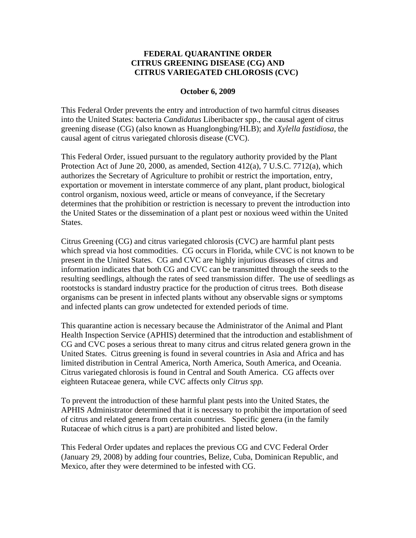# **FEDERAL QUARANTINE ORDER CITRUS GREENING DISEASE (CG) AND CITRUS VARIEGATED CHLOROSIS (CVC)**

#### **October 6, 2009**

This Federal Order prevents the entry and introduction of two harmful citrus diseases into the United States: bacteria *Candidatus* Liberibacter spp., the causal agent of citrus greening disease (CG) (also known as Huanglongbing/HLB); and *Xylella fastidiosa*, the causal agent of citrus variegated chlorosis disease (CVC).

This Federal Order, issued pursuant to the regulatory authority provided by the Plant Protection Act of June 20, 2000, as amended, Section 412(a), 7 U.S.C. 7712(a), which authorizes the Secretary of Agriculture to prohibit or restrict the importation, entry, exportation or movement in interstate commerce of any plant, plant product, biological control organism, noxious weed, article or means of conveyance, if the Secretary determines that the prohibition or restriction is necessary to prevent the introduction into the United States or the dissemination of a plant pest or noxious weed within the United States.

Citrus Greening (CG) and citrus variegated chlorosis (CVC) are harmful plant pests which spread via host commodities. CG occurs in Florida, while CVC is not known to be present in the United States. CG and CVC are highly injurious diseases of citrus and information indicates that both CG and CVC can be transmitted through the seeds to the resulting seedlings, although the rates of seed transmission differ. The use of seedlings as rootstocks is standard industry practice for the production of citrus trees. Both disease organisms can be present in infected plants without any observable signs or symptoms and infected plants can grow undetected for extended periods of time.

This quarantine action is necessary because the Administrator of the Animal and Plant Health Inspection Service (APHIS) determined that the introduction and establishment of CG and CVC poses a serious threat to many citrus and citrus related genera grown in the United States. Citrus greening is found in several countries in Asia and Africa and has limited distribution in Central America, North America, South America, and Oceania. Citrus variegated chlorosis is found in Central and South America. CG affects over eighteen Rutaceae genera, while CVC affects only *Citrus spp.*

To prevent the introduction of these harmful plant pests into the United States, the APHIS Administrator determined that it is necessary to prohibit the importation of seed of citrus and related genera from certain countries. Specific genera (in the family Rutaceae of which citrus is a part) are prohibited and listed below.

This Federal Order updates and replaces the previous CG and CVC Federal Order (January 29, 2008) by adding four countries, Belize, Cuba, Dominican Republic, and Mexico, after they were determined to be infested with CG.